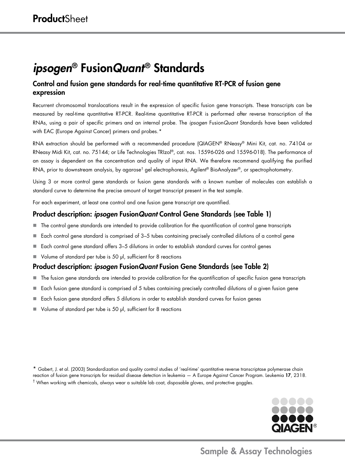# *ipsogen*® Fusion*Quant*® Standards

## Control and fusion gene standards for real-time quantitative RT-PCR of fusion gene expression

Recurrent chromosomal translocations result in the expression of specific fusion gene transcripts. These transcripts can be measured by real-time quantitative RT-PCR. Real-time quantitative RT-PCR is performed after reverse transcription of the RNAs, using a pair of specific primers and an internal probe. The *ipsogen* Fusion*Quant* Standards have been validated with EAC (Europe Against Cancer) primers and probes.<sup>[\\*](#page-0-0)</sup>

RNA extraction should be performed with a recommended procedure (QIAGEN® RNeasy® Mini Kit, cat. no. 74104 or RNeasy Midi Kit, cat. no. 75144; or Life Technologies TRIzol®, cat. nos. 15596-026 and 15596-018). The performance of an assay is dependent on the concentration and quality of input RNA. We therefore recommend qualifying the purified RNA, prior to downstream analysis, by agarose<sup>[†](#page-0-1)</sup> gel electrophoresis, Agilent® BioAnalyzer®, or spectrophotometry.

Using 3 or more control gene standards or fusion gene standards with a known number of molecules can establish a standard curve to determine the precise amount of target transcript present in the test sample.

For each experiment, at least one control and one fusion gene transcript are quantified.

### Product description: *ipsogen* Fusion*Quant* Control Gene Standards (see Table 1)

- The control gene standards are intended to provide calibration for the quantification of control gene transcripts
- Each control gene standard is comprised of 3–5 tubes containing precisely controlled dilutions of a control gene
- Each control gene standard offers 3–5 dilutions in order to establish standard curves for control genes
- Volume of standard per tube is 50 µl, sufficient for 8 reactions

### Product description: *ipsogen* Fusion*Quant* Fusion Gene Standards (see Table 2)

- The fusion gene standards are intended to provide calibration for the quantification of specific fusion gene transcripts
- Each fusion gene standard is comprised of 5 tubes containing precisely controlled dilutions of a given fusion gene
- $\blacksquare$  Each fusion gene standard offers 5 dilutions in order to establish standard curves for fusion genes
- Volume of standard per tube is 50 µl, sufficient for 8 reactions

<span id="page-0-1"></span><span id="page-0-0"></span>\* Gabert, J. et al. (2003) Standardization and quality control studies of 'real-time' quantitative reverse transcriptase polymerase chain reaction of fusion gene transcripts for residual disease detection in leukemia - A Europe Against Cancer Program. Leukemia 17, 2318.  $<sup>†</sup>$  When working with chemicals, always wear a suitable lab coat, disposable gloves, and protective goggles.</sup>



## Sample & Assay Technologies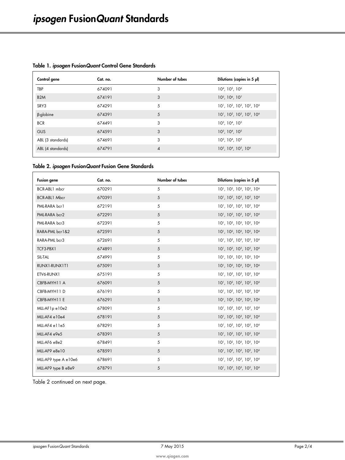| Control gene      | Cat. no. | Number of tubes | Dilutions (copies in 5 µl)                 |
|-------------------|----------|-----------------|--------------------------------------------|
| <b>TBP</b>        | 674091   | 3               | $104$ , $105$ , $106$                      |
| B <sub>2</sub> M  | 674191   | 3               | $10^5$ , $10^6$ , $10^7$                   |
| SRY3              | 674291   | 5               | $10^1$ , $10^2$ , $10^3$ , $10^5$ , $10^6$ |
| β-globine         | 674391   | 5               | $10^1$ , $10^2$ , $10^3$ , $10^5$ , $10^6$ |
| <b>BCR</b>        | 674491   | 3               | $10^3$ , $10^4$ , $10^5$                   |
| <b>GUS</b>        | 674591   | 3               | $10^3$ , $10^4$ , $10^5$                   |
| ABL (3 standards) | 674691   | 3               | $10^3$ , $10^4$ , $10^5$                   |
| ABL (4 standards) | 674791   | $\overline{4}$  | $10^3$ , $10^4$ , $10^5$ , $10^6$          |
|                   |          |                 |                                            |

#### Table 1. *ipsogen* Fusion*Quant* Control Gene Standards

#### Table 2. *ipsogen* Fusion*Quant* Fusion Gene Standards

| <b>Fusion gene</b>   | Cat. no. | Number of tubes | Dilutions (copies in 5 µl)                                                              |
|----------------------|----------|-----------------|-----------------------------------------------------------------------------------------|
| BCR-ABL1 mbcr        | 670291   | 5               | 10 <sup>1</sup> , 10 <sup>2</sup> , 10 <sup>3</sup> , 10 <sup>5</sup> , 10 <sup>6</sup> |
| <b>BCR-ABL1 Mbcr</b> | 670391   | 5               | 10 <sup>1</sup> , 10 <sup>2</sup> , 10 <sup>3</sup> , 10 <sup>5</sup> , 10 <sup>6</sup> |
| PML-RARA bcr1        | 672191   | 5               | 10 <sup>1</sup> , 10 <sup>2</sup> , 10 <sup>3</sup> , 10 <sup>5</sup> , 10 <sup>6</sup> |
| PML-RARA bcr2        | 672291   | 5               | 10 <sup>1</sup> , 10 <sup>2</sup> , 10 <sup>3</sup> , 10 <sup>5</sup> , 10 <sup>6</sup> |
| PML-RARA bcr3        | 672391   | 5               | 10 <sup>1</sup> , 10 <sup>2</sup> , 10 <sup>3</sup> , 10 <sup>5</sup> , 10 <sup>6</sup> |
| RARA-PML bcr1&2      | 672591   | 5               | 10 <sup>1</sup> , 10 <sup>2</sup> , 10 <sup>3</sup> , 10 <sup>5</sup> , 10 <sup>6</sup> |
| RARA-PML bcr3        | 672691   | 5               | 10 <sup>1</sup> , 10 <sup>2</sup> , 10 <sup>3</sup> , 10 <sup>5</sup> , 10 <sup>6</sup> |
| TCF3-PBX1            | 674891   | 5               | 10 <sup>1</sup> , 10 <sup>2</sup> , 10 <sup>3</sup> , 10 <sup>5</sup> , 10 <sup>6</sup> |
| SIL-TAL              | 674991   | 5               | 10 <sup>1</sup> , 10 <sup>2</sup> , 10 <sup>3</sup> , 10 <sup>5</sup> , 10 <sup>6</sup> |
| RUNX1-RUNX1T1        | 675091   | 5               | 10 <sup>1</sup> , 10 <sup>2</sup> , 10 <sup>3</sup> , 10 <sup>5</sup> , 10 <sup>6</sup> |
| ETV6-RUNX1           | 675191   | 5               | 10 <sup>1</sup> , 10 <sup>2</sup> , 10 <sup>3</sup> , 10 <sup>5</sup> , 10 <sup>6</sup> |
| CBFB-MYH11 A         | 676091   | 5               | 10 <sup>1</sup> , 10 <sup>2</sup> , 10 <sup>3</sup> , 10 <sup>5</sup> , 10 <sup>6</sup> |
| CBFB-MYH11D          | 676191   | 5               | 10 <sup>1</sup> , 10 <sup>2</sup> , 10 <sup>3</sup> , 10 <sup>5</sup> , 10 <sup>6</sup> |
| CBFB-MYH11 E         | 676291   | 5               | 10 <sup>1</sup> , 10 <sup>2</sup> , 10 <sup>3</sup> , 10 <sup>5</sup> , 10 <sup>6</sup> |
| MLL-AF1pe10e2        | 678091   | 5               | 10 <sup>1</sup> , 10 <sup>2</sup> , 10 <sup>3</sup> , 10 <sup>5</sup> , 10 <sup>6</sup> |
| MLL-AF4 e10e4        | 678191   | 5               | 10 <sup>1</sup> , 10 <sup>2</sup> , 10 <sup>3</sup> , 10 <sup>5</sup> , 10 <sup>6</sup> |
| MLL-AF4 elle5        | 678291   | 5               | 10 <sup>1</sup> , 10 <sup>2</sup> , 10 <sup>3</sup> , 10 <sup>5</sup> , 10 <sup>6</sup> |
| MLL-AF4 e9e5         | 678391   | 5               | 10 <sup>1</sup> , 10 <sup>2</sup> , 10 <sup>3</sup> , 10 <sup>5</sup> , 10 <sup>6</sup> |
| MLL-AF6 e8e2         | 678491   | 5               | 10 <sup>1</sup> , 10 <sup>2</sup> , 10 <sup>3</sup> , 10 <sup>5</sup> , 10 <sup>6</sup> |
| MLL-AF9 e8e10        | 678591   | 5               | 10 <sup>1</sup> , 10 <sup>2</sup> , 10 <sup>3</sup> , 10 <sup>5</sup> , 10 <sup>6</sup> |
| MLL-AF9 type A e10e6 | 678691   | 5               | 10 <sup>1</sup> , 10 <sup>2</sup> , 10 <sup>3</sup> , 10 <sup>5</sup> , 10 <sup>6</sup> |
| MLL-AF9 type B e8e9  | 678791   | 5               | 10 <sup>1</sup> , 10 <sup>2</sup> , 10 <sup>3</sup> , 10 <sup>5</sup> , 10 <sup>6</sup> |
|                      |          |                 |                                                                                         |

Table 2 continued on next page.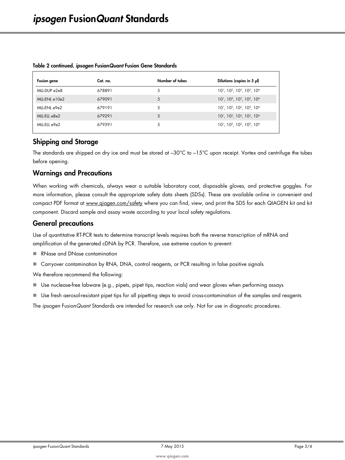| Fusion gene   | Cat. no. | Number of tubes | Dilutions (copies in 5 µl)                                                              |
|---------------|----------|-----------------|-----------------------------------------------------------------------------------------|
| MLL-DUP e2e8  | 678891   | 5               | $10^1$ , $10^2$ , $10^3$ , $10^5$ , $10^6$                                              |
| MLL-ENL e10e2 | 679091   | 5               | $10^1$ , $10^2$ , $10^3$ , $10^5$ , $10^6$                                              |
| MLL-ENL e9e2  | 679191   | 5               | 10 <sup>1</sup> , 10 <sup>2</sup> , 10 <sup>3</sup> , 10 <sup>5</sup> , 10 <sup>6</sup> |
| MLL-ELL e8e2  | 679291   | 5               | $10^1$ , $10^2$ , $10^3$ , $10^5$ , $10^6$                                              |
| MLL-ELL e9e2  | 679391   | 5               | $10^1$ , $10^2$ , $10^3$ , $10^5$ , $10^6$                                              |

#### Table 2 continued. *ipsogen* Fusion*Quant* Fusion Gene Standards

### Shipping and Storage

The standards are shipped on dry ice and must be stored at -30°C to -15°C upon receipt. Vortex and centrifuge the tubes before opening.

#### Warnings and Precautions

When working with chemicals, always wear a suitable laboratory coat, disposable gloves, and protective goggles. For more information, please consult the appropriate safety data sheets (SDSs). These are available online in convenient and compact PDF format at www.giagen.com/safety where you can find, view, and print the SDS for each QIAGEN kit and kit component. Discard sample and assay waste according to your local safety regulations.

#### General precautions

Use of quantitative RT-PCR tests to determine transcript levels requires both the reverse transcription of mRNA and amplification of the generated cDNA by PCR. Therefore, use extreme caution to prevent:

- RNase and DNase contamination
- Carryover contamination by RNA, DNA, control reagents, or PCR resulting in false positive signals

We therefore recommend the following:

- $\blacksquare$  Use nuclease-free labware (e.g., pipets, pipet tips, reaction vials) and wear gloves when performing assays
- Use fresh aerosol-resistant pipet tips for all pipetting steps to avoid cross-contamination of the samples and reagents

The *ipsogen* Fusion*Quant* Standards are intended for research use only. Not for use in diagnostic procedures.